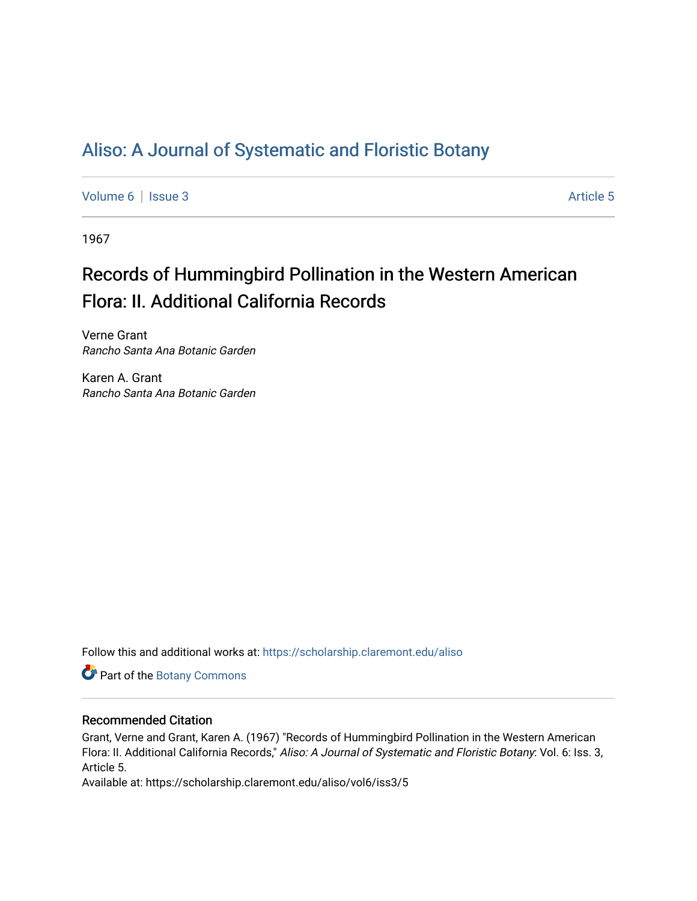# [Aliso: A Journal of Systematic and Floristic Botany](https://scholarship.claremont.edu/aliso)

[Volume 6](https://scholarship.claremont.edu/aliso/vol6) | [Issue 3](https://scholarship.claremont.edu/aliso/vol6/iss3) Article 5

1967

# Records of Hummingbird Pollination in the Western American Flora: II. Additional California Records

Verne Grant Rancho Santa Ana Botanic Garden

Karen A. Grant Rancho Santa Ana Botanic Garden

Follow this and additional works at: [https://scholarship.claremont.edu/aliso](https://scholarship.claremont.edu/aliso?utm_source=scholarship.claremont.edu%2Faliso%2Fvol6%2Fiss3%2F5&utm_medium=PDF&utm_campaign=PDFCoverPages) 

Part of the [Botany Commons](https://network.bepress.com/hgg/discipline/104?utm_source=scholarship.claremont.edu%2Faliso%2Fvol6%2Fiss3%2F5&utm_medium=PDF&utm_campaign=PDFCoverPages) 

# Recommended Citation

Grant, Verne and Grant, Karen A. (1967) "Records of Hummingbird Pollination in the Western American Flora: II. Additional California Records," Aliso: A Journal of Systematic and Floristic Botany: Vol. 6: Iss. 3, Article 5.

Available at: https://scholarship.claremont.edu/aliso/vol6/iss3/5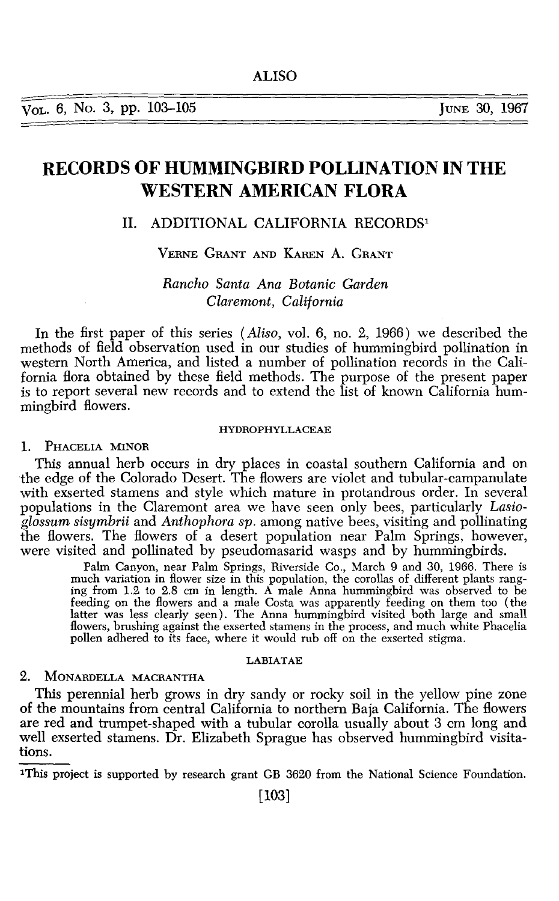# **RECORDS OF HUMMINGBIRD POLLINATION IN THE WESTERN AMERICAN FLORA**

# II. ADDITIONAL CALIFORNIA RECORDS<sup>1</sup>

# VERNE GRANT AND KAREN A. GRANT

# *Rancho Santa Ana Botanic Garden Claremont, California*

In the first paper of this series *(Aliso,* vol. 6, no. 2, 1966) we described the methods of field observation used in our studies of hummingbird pollination in western North America, and listed a number of pollination records in the California flora obtained by these field methods. The purpose of the present paper is to report several new records and to extend the list of known California hummingbird flowers.

#### HYDROPHYLLACEAE

## 1. PHACELIA MINOR

This annual herb occurs in dry places in coastal southern California and on the edge of the Colorado Desert. The flowers are violet and tubular-campanulate with exserted stamens and style which mature in protandrous order. In several populations in the Claremont area we have seen only bees, particularly Lasio*glossum sisymbrii* and *Anthophora sp.* among native bees, visiting and pollinating the flowers. The flowers of a desert population near Palm Springs, however, were visited and pollinated by pseudomasarid wasps and by hummingbirds.

Palm Canyon, near Palm Springs, Riverside Co., March 9 and 30, 1966. There is much variation in flower size in this population, the corollas of different plants ranging from 1.2 to 2.8 em in length. A male Anna hummingbird was observed to be feeding on the flowers and a male Costa was apparently feeding on them too (the latter was less clearly seen). The Anna hummingbird visited both large and small flowers, brushing against the exserted stamens in the process, and much white Phacelia pollen adhered to its face, where it would rub off on the exserted stigma.

## LABIATAE

# 2. MoNARDELLA MACRANTHA

This perennial herb grows in dry sandy or rocky soil in the yellow pine zone of the mountains from central California to northern Baja California. The flowers are red and trumpet-shaped with a tubular corolla usually about 3 em long and well exserted stamens. Dr. Elizabeth Sprague has observed hummingbird visitations.

1This project is supported by research grant GB 3620 from the National Science Foundation.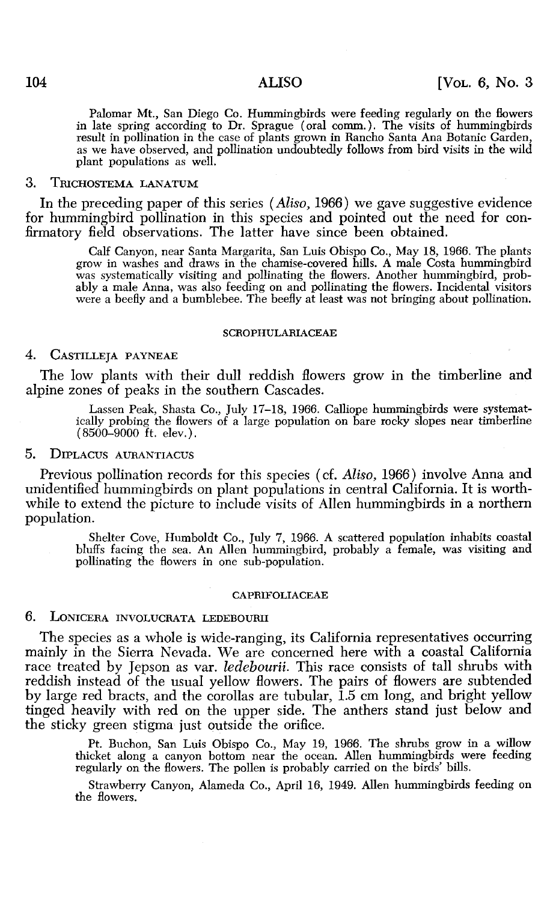Palomar Mt., San Diego Co. Hummingbirds were feeding regularly on the flowers in late spring according to Dr. Sprague (oral comm.). The visits of hummingbirds result in pollination in the case of plants grown in Rancho Santa Ana Botanic Garden, as we have observed, and pollination undoubtedly follows from bird visits in the wild plant populations as well.

## 3. TrucHOSTEMA LANATUM

In the preceding paper of this series *(Aliso,* 1966) we gave suggestive evidence for hummingbird pollination in this species and pointed out the need for confirmatory field observations. The latter have since been obtained.

Calf Canyon, near Santa Margarita, San Luis Obispo Co., May 18, 1966. The plants grow in washes and draws in the chamise-covered hills. A male Costa hummingbird was systematically visiting and pollinating the flowers. Another hummingbird, prob-<br>ably a male Anna, was also feeding on and pollinating the flowers. Incidental visitors were a beefly and a bumblebee. The beefly at least was not bringing about pollination.

#### SCROPHULARIACEAE

## 4. CASTILLEJA PAYNEAE

The low plants with their dull reddish flowers grow in the timberline and alpine zones of peaks in the southern Cascades.

Lassen Peak, Shasta Co., July 17-18, 1966. Calliope hummingbirds were systematically probing the flowers of a large population on bare rocky slopes near timberline  $(8500 - 9000)$  ft. elev.).

#### 5. DIPLACUS AURANTIACUS

Previous pollination records for this species ( cf. *Aliso,* 1966) involve Anna and unidentified hummingbirds on plant populations in central California. It is worthwhile to extend the picture to include visits of Allen humming birds in a northern population.

Shelter Cove, Humboldt Co., July 7, 1966. A scattered population inhabits coastal bluffs facing the sea. An Allen hummingbird, probably a female, was visiting and pollinating the flowers in one sub-population.

#### CAPRIFOLIACEAE

#### 6. LONICERA INVOLUCRATA LEDEBOURII

The species as a whole is wide-ranging, its California representatives occurring mainly in the Sierra Nevada. We are concerned here with a coastal California race treated by Jepson as var. *ledebourii.* This race consists of tall shrubs with reddish instead of the usual yellow flowers. The pairs of flowers are subtended by large red bracts, and the corollas are tubular, 1.5 em long, and bright yellow tinged heavily with red on the upper side. The anthers stand just below and the sticky green stigma just outside the orifice.

Pt. Buchon, San Luis Obispo Co., May 19, 1966. The shrubs grow in a willow thicket along a canyon bottom near the ocean. Allen hummingbirds were feeding regularly on the flowers. The pollen is probably carried on the birds' bills.

Strawberry Canyon, Alameda Co., April 16, 1949. Allen hummingbirds feeding on the flowers.